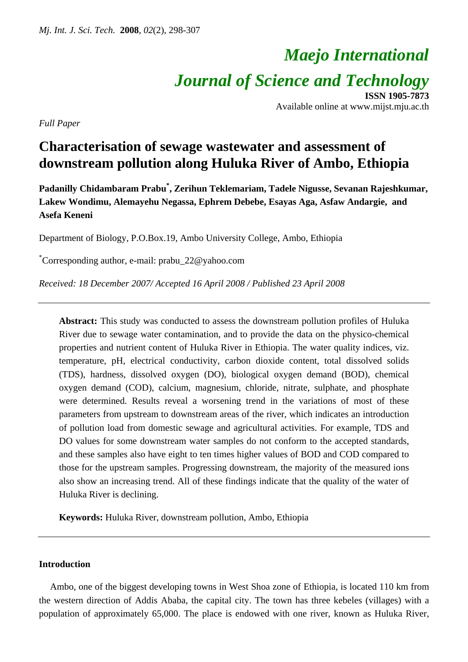# *Maejo International*

*Journal of Science and Technology*

**ISSN 1905-7873** Available online at www.mijst.mju.ac.th

*Full Paper* 

# **Characterisation of sewage wastewater and assessment of downstream pollution along Huluka River of Ambo, Ethiopia**

**Padanilly Chidambaram Prabu\* , Zerihun Teklemariam, Tadele Nigusse, Sevanan Rajeshkumar, Lakew Wondimu, Alemayehu Negassa, Ephrem Debebe, Esayas Aga, Asfaw Andargie, and Asefa Keneni** 

Department of Biology, P.O.Box.19, Ambo University College, Ambo, Ethiopia

\* Corresponding author, e-mail: prabu\_22@yahoo.com

*Received: 18 December 2007/ Accepted 16 April 2008 / Published 23 April 2008* 

**Abstract:** This study was conducted to assess the downstream pollution profiles of Huluka River due to sewage water contamination, and to provide the data on the physico-chemical properties and nutrient content of Huluka River in Ethiopia. The water quality indices, viz. temperature, pH, electrical conductivity, carbon dioxide content, total dissolved solids (TDS), hardness, dissolved oxygen (DO), biological oxygen demand (BOD), chemical oxygen demand (COD), calcium, magnesium, chloride, nitrate, sulphate, and phosphate were determined. Results reveal a worsening trend in the variations of most of these parameters from upstream to downstream areas of the river, which indicates an introduction of pollution load from domestic sewage and agricultural activities. For example, TDS and DO values for some downstream water samples do not conform to the accepted standards, and these samples also have eight to ten times higher values of BOD and COD compared to those for the upstream samples. Progressing downstream, the majority of the measured ions also show an increasing trend. All of these findings indicate that the quality of the water of Huluka River is declining.

**Keywords:** Huluka River, downstream pollution, Ambo, Ethiopia

# **Introduction**

Ambo, one of the biggest developing towns in West Shoa zone of Ethiopia, is located 110 km from the western direction of Addis Ababa, the capital city. The town has three kebeles (villages) with a population of approximately 65,000. The place is endowed with one river, known as Huluka River,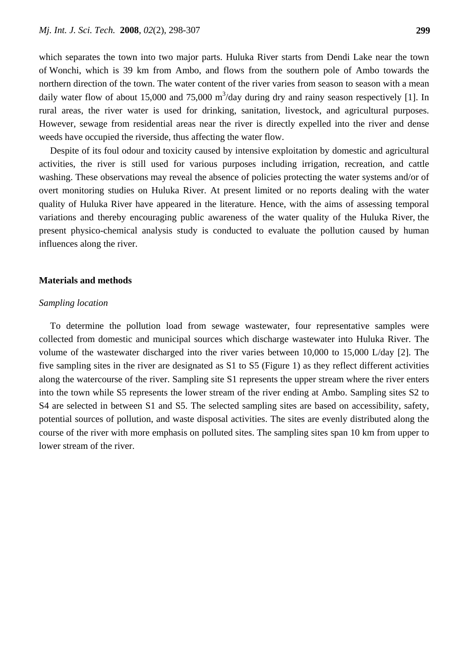which separates the town into two major parts. Huluka River starts from Dendi Lake near the town of Wonchi, which is 39 km from Ambo, and flows from the southern pole of Ambo towards the northern direction of the town. The water content of the river varies from season to season with a mean daily water flow of about 15,000 and 75,000  $\text{m}^3$ /day during dry and rainy season respectively [1]. In rural areas, the river water is used for drinking, sanitation, livestock, and agricultural purposes. However, sewage from residential areas near the river is directly expelled into the river and dense weeds have occupied the riverside, thus affecting the water flow.

Despite of its foul odour and toxicity caused by intensive exploitation by domestic and agricultural activities, the river is still used for various purposes including irrigation, recreation, and cattle washing. These observations may reveal the absence of policies protecting the water systems and/or of overt monitoring studies on Huluka River. At present limited or no reports dealing with the water quality of Huluka River have appeared in the literature. Hence, with the aims of assessing temporal variations and thereby encouraging public awareness of the water quality of the Huluka River, the present physico-chemical analysis study is conducted to evaluate the pollution caused by human influences along the river.

### **Materials and methods**

#### *Sampling location*

To determine the pollution load from sewage wastewater, four representative samples were collected from domestic and municipal sources which discharge wastewater into Huluka River. The volume of the wastewater discharged into the river varies between 10,000 to 15,000 L/day [2]. The five sampling sites in the river are designated as S1 to S5 (Figure 1) as they reflect different activities along the watercourse of the river. Sampling site S1 represents the upper stream where the river enters into the town while S5 represents the lower stream of the river ending at Ambo. Sampling sites S2 to S4 are selected in between S1 and S5. The selected sampling sites are based on accessibility, safety, potential sources of pollution, and waste disposal activities. The sites are evenly distributed along the course of the river with more emphasis on polluted sites. The sampling sites span 10 km from upper to lower stream of the river.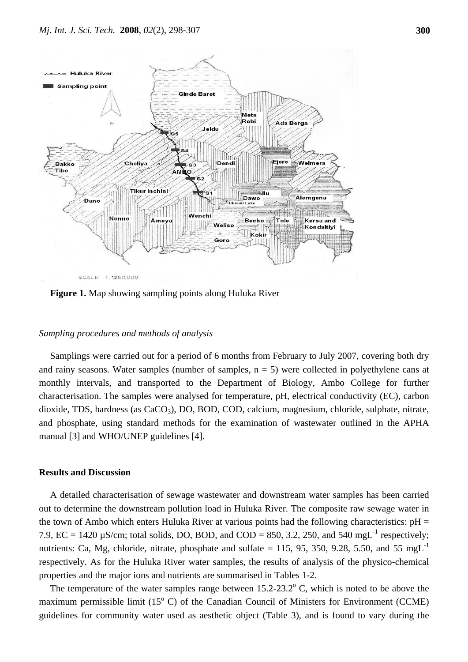

**Figure 1.** Map showing sampling points along Huluka River

# *Sampling procedures and methods of analysis*

Samplings were carried out for a period of 6 months from February to July 2007, covering both dry and rainy seasons. Water samples (number of samples,  $n = 5$ ) were collected in polyethylene cans at monthly intervals, and transported to the Department of Biology, Ambo College for further characterisation. The samples were analysed for temperature, pH, electrical conductivity (EC), carbon dioxide, TDS, hardness (as CaCO<sub>3</sub>), DO, BOD, COD, calcium, magnesium, chloride, sulphate, nitrate, and phosphate, using standard methods for the examination of wastewater outlined in the APHA manual [3] and WHO/UNEP guidelines [4].

### **Results and Discussion**

A detailed characterisation of sewage wastewater and downstream water samples has been carried out to determine the downstream pollution load in Huluka River. The composite raw sewage water in the town of Ambo which enters Huluka River at various points had the following characteristics:  $pH =$ 7.9,  $\text{EC} = 1420 \mu\text{S/cm}$ ; total solids, DO, BOD, and COD = 850, 3.2, 250, and 540 mgL<sup>-1</sup> respectively; nutrients: Ca, Mg, chloride, nitrate, phosphate and sulfate  $= 115, 95, 350, 9.28, 5.50,$  and 55 mgL<sup>-1</sup> respectively. As for the Huluka River water samples, the results of analysis of the physico-chemical properties and the major ions and nutrients are summarised in Tables 1-2.

The temperature of the water samples range between  $15.2 - 23.2^{\circ}$  C, which is noted to be above the maximum permissible limit  $(15^{\circ}$  C) of the Canadian Council of Ministers for Environment (CCME) guidelines for community water used as aesthetic object (Table 3), and is found to vary during the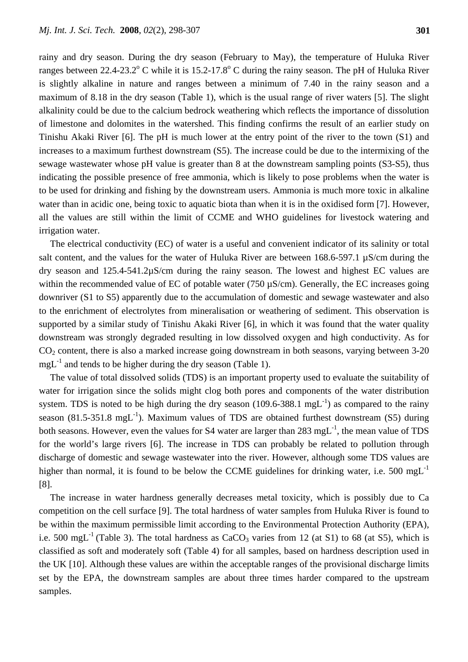rainy and dry season. During the dry season (February to May), the temperature of Huluka River ranges between 22.4-23.2 $^{\circ}$  C while it is 15.2-17.8 $^{\circ}$  C during the rainy season. The pH of Huluka River is slightly alkaline in nature and ranges between a minimum of 7.40 in the rainy season and a maximum of 8.18 in the dry season (Table 1), which is the usual range of river waters [5]. The slight alkalinity could be due to the calcium bedrock weathering which reflects the importance of dissolution of limestone and dolomites in the watershed. This finding confirms the result of an earlier study on Tinishu Akaki River [6]. The pH is much lower at the entry point of the river to the town (S1) and increases to a maximum furthest downstream (S5). The increase could be due to the intermixing of the sewage wastewater whose pH value is greater than 8 at the downstream sampling points (S3-S5), thus indicating the possible presence of free ammonia, which is likely to pose problems when the water is to be used for drinking and fishing by the downstream users. Ammonia is much more toxic in alkaline water than in acidic one, being toxic to aquatic biota than when it is in the oxidised form [7]. However, all the values are still within the limit of CCME and WHO guidelines for livestock watering and irrigation water.

The electrical conductivity (EC) of water is a useful and convenient indicator of its salinity or total salt content, and the values for the water of Huluka River are between 168.6-597.1 µS/cm during the dry season and 125.4-541.2µS/cm during the rainy season. The lowest and highest EC values are within the recommended value of EC of potable water (750  $\mu$ S/cm). Generally, the EC increases going downriver (S1 to S5) apparently due to the accumulation of domestic and sewage wastewater and also to the enrichment of electrolytes from mineralisation or weathering of sediment. This observation is supported by a similar study of Tinishu Akaki River [6], in which it was found that the water quality downstream was strongly degraded resulting in low dissolved oxygen and high conductivity. As for  $CO<sub>2</sub>$  content, there is also a marked increase going downstream in both seasons, varying between 3-20  $mgL^{-1}$  and tends to be higher during the dry season (Table 1).

The value of total dissolved solids (TDS) is an important property used to evaluate the suitability of water for irrigation since the solids might clog both pores and components of the water distribution system. TDS is noted to be high during the dry season  $(109.6-388.1 \text{ mgL}^{-1})$  as compared to the rainy season (81.5-351.8 mgL<sup>-1</sup>). Maximum values of TDS are obtained furthest downstream (S5) during both seasons. However, even the values for S4 water are larger than 283 mgL<sup>-1</sup>, the mean value of TDS for the world's large rivers [6]. The increase in TDS can probably be related to pollution through discharge of domestic and sewage wastewater into the river. However, although some TDS values are higher than normal, it is found to be below the CCME guidelines for drinking water, i.e. 500 mg $L^{-1}$ [8].

The increase in water hardness generally decreases metal toxicity, which is possibly due to Ca competition on the cell surface [9]. The total hardness of water samples from Huluka River is found to be within the maximum permissible limit according to the Environmental Protection Authority (EPA), i.e. 500 mgL<sup>-1</sup> (Table 3). The total hardness as  $CaCO<sub>3</sub>$  varies from 12 (at S1) to 68 (at S5), which is classified as soft and moderately soft (Table 4) for all samples, based on hardness description used in the UK [10]. Although these values are within the acceptable ranges of the provisional discharge limits set by the EPA, the downstream samples are about three times harder compared to the upstream samples.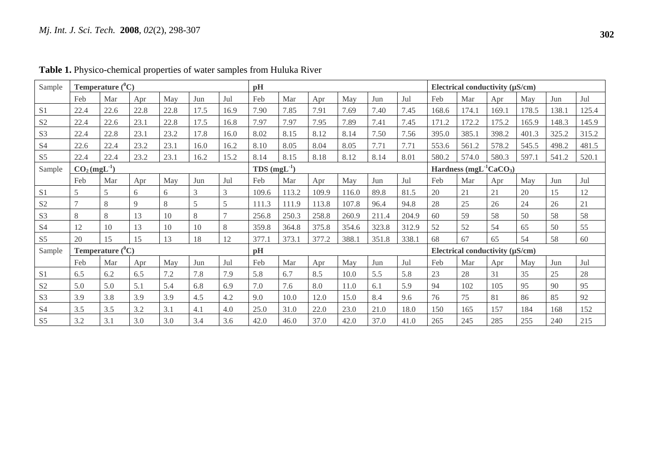| Sample         | Temperature $(^0C)$ |      |      |      |                            |      | pH    |       |       |                                                 |                                      | Electrical conductivity $(\mu S/cm)$ |       |       |       |       |       |       |
|----------------|---------------------|------|------|------|----------------------------|------|-------|-------|-------|-------------------------------------------------|--------------------------------------|--------------------------------------|-------|-------|-------|-------|-------|-------|
|                | Feb                 | Mar  | Apr  | May  | Jun                        | Jul  | Feb   | Mar   | Apr   | May                                             | Jun                                  | Jul                                  | Feb   | Mar   | Apr   | May   | Jun   | Jul   |
| S <sub>1</sub> | 22.4                | 22.6 | 22.8 | 22.8 | 17.5                       | 16.9 | 7.90  | 7.85  | 7.91  | 7.69                                            | 7.40                                 | 7.45                                 | 168.6 | 174.1 | 169.1 | 178.5 | 138.1 | 125.4 |
| S <sub>2</sub> | 22.4                | 22.6 | 23.1 | 22.8 | 17.5                       | 16.8 | 7.97  | 7.97  | 7.95  | 7.89                                            | 7.41                                 | 7.45                                 | 171.2 | 172.2 | 175.2 | 165.9 | 148.3 | 145.9 |
| S <sub>3</sub> | 22.4                | 22.8 | 23.1 | 23.2 | 17.8                       | 16.0 | 8.02  | 8.15  | 8.12  | 8.14                                            | 7.50                                 | 7.56                                 | 395.0 | 385.1 | 398.2 | 401.3 | 325.2 | 315.2 |
| S4             | 22.6                | 22.4 | 23.2 | 23.1 | 16.0                       | 16.2 | 8.10  | 8.05  | 8.04  | 8.05                                            | 7.71                                 | 7.71                                 | 553.6 | 561.2 | 578.2 | 545.5 | 498.2 | 481.5 |
| S5             | 22.4                | 22.4 | 23.2 | 23.1 | 16.2                       | 15.2 | 8.14  | 8.15  | 8.18  | 8.12                                            | 8.14                                 | 8.01                                 | 580.2 | 574.0 | 580.3 | 597.1 | 541.2 | 520.1 |
| Sample         | $CO2(mgL-1)$        |      |      |      | $TDS$ (mgL <sup>-1</sup> ) |      |       |       |       | Hardness (mgL <sup>-1</sup> CaCO <sub>3</sub> ) |                                      |                                      |       |       |       |       |       |       |
|                | Feb                 | Mar  | Apr  | May  | Jun                        | Jul  | Feb   | Mar   | Apr   | May                                             | Jun                                  | Jul                                  | Feb   | Mar   | Apr   | May   | Jun   | Jul   |
| S <sub>1</sub> | 5                   | 5    | 6    | 6    | 3                          | 3    | 109.6 | 113.2 | 109.9 | 116.0                                           | 89.8                                 | 81.5                                 | 20    | 21    | 21    | 20    | 15    | 12    |
| S <sub>2</sub> | $\overline{7}$      | 8    | 9    | 8    | 5                          | 5    | 111.3 | 111.9 | 113.8 | 107.8                                           | 96.4                                 | 94.8                                 | 28    | 25    | 26    | 24    | 26    | 21    |
| S <sub>3</sub> | 8                   | 8    | 13   | 10   | 8                          |      | 256.8 | 250.3 | 258.8 | 260.9                                           | 211.4                                | 204.9                                | 60    | 59    | 58    | 50    | 58    | 58    |
| S <sub>4</sub> | 12                  | 10   | 13   | 10   | 10                         | 8    | 359.8 | 364.8 | 375.8 | 354.6                                           | 323.8                                | 312.9                                | 52    | 52    | 54    | 65    | 50    | 55    |
| S <sub>5</sub> | 20                  | 15   | 15   | 13   | 18                         | 12   | 377.1 | 373.1 | 377.2 | 388.1                                           | 351.8                                | 338.1                                | 68    | 67    | 65    | 54    | 58    | 60    |
| Sample         | Temperature $(^0C)$ |      |      |      |                            | pH   |       |       |       |                                                 | Electrical conductivity $(\mu S/cm)$ |                                      |       |       |       |       |       |       |
|                | Feb                 | Mar  | Apr  | May  | Jun                        | Jul  | Feb   | Mar   | Apr   | May                                             | Jun                                  | Jul                                  | Feb   | Mar   | Apr   | May   | Jun   | Jul   |
| S1             | 6.5                 | 6.2  | 6.5  | 7.2  | 7.8                        | 7.9  | 5.8   | 6.7   | 8.5   | 10.0                                            | 5.5                                  | 5.8                                  | 23    | 28    | 31    | 35    | 25    | 28    |
| S <sub>2</sub> | 5.0                 | 5.0  | 5.1  | 5.4  | 6.8                        | 6.9  | 7.0   | 7.6   | 8.0   | 11.0                                            | 6.1                                  | 5.9                                  | 94    | 102   | 105   | 95    | 90    | 95    |
| S <sub>3</sub> | 3.9                 | 3.8  | 3.9  | 3.9  | 4.5                        | 4.2  | 9.0   | 10.0  | 12.0  | 15.0                                            | 8.4                                  | 9.6                                  | 76    | 75    | 81    | 86    | 85    | 92    |
| S <sub>4</sub> | 3.5                 | 3.5  | 3.2  | 3.1  | 4.1                        | 4.0  | 25.0  | 31.0  | 22.0  | 23.0                                            | 21.0                                 | 18.0                                 | 150   | 165   | 157   | 184   | 168   | 152   |
| S <sub>5</sub> | 3.2                 | 3.1  | 3.0  | 3.0  | 3.4                        | 3.6  | 42.0  | 46.0  | 37.0  | 42.0                                            | 37.0                                 | 41.0                                 | 265   | 245   | 285   | 255   | 240   | 215   |

**Table 1.** Physico-chemical properties of water samples from Huluka River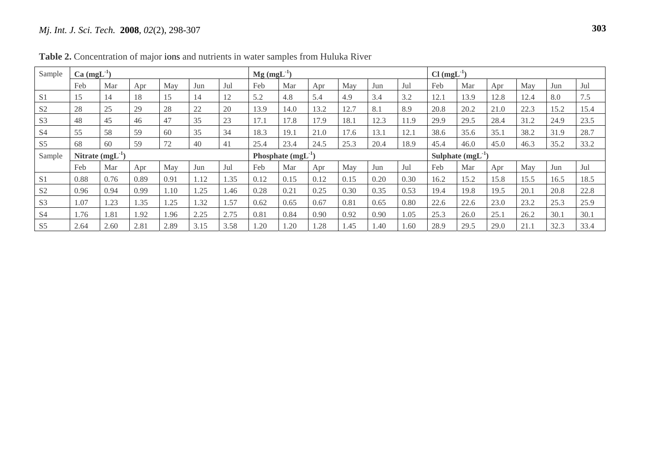# *Mj. Int. J. Sci. Tech.* **2008**, *02*(2), 298-307 **2**

| Sample         | $Ca \, (mgL^{-1})$   |      |      |      |      | $Mg$ (mgL <sup>-1</sup> ) |      |      |      |                       | $Cl (mgL^{-1})$ |      |      |      |      |      |      |      |
|----------------|----------------------|------|------|------|------|---------------------------|------|------|------|-----------------------|-----------------|------|------|------|------|------|------|------|
|                | Feb                  | Mar  | Apr  | May  | Jun  | Jul                       | Feb  | Mar  | Apr  | May                   | Jun             | Jul  | Feb  | Mar  | Apr  | May  | Jun  | Jul  |
| S <sub>1</sub> | 15                   | 14   | 18   | 15   | 14   | 12                        | 5.2  | 4.8  | 5.4  | 4.9                   | 3.4             | 3.2  | 12.1 | 13.9 | 12.8 | 12.4 | 8.0  | 7.5  |
| S <sub>2</sub> | 28                   | 25   | 29   | 28   | 22   | 20                        | 13.9 | 14.0 | 13.2 | 12.7                  | 8.1             | 8.9  | 20.8 | 20.2 | 21.0 | 22.3 | 15.2 | 15.4 |
| S <sub>3</sub> | 48                   | 45   | 46   | 47   | 35   | 23                        | 17.1 | 17.8 | 17.9 | 18.1                  | 12.3            | 11.9 | 29.9 | 29.5 | 28.4 | 31.2 | 24.9 | 23.5 |
| S <sub>4</sub> | 55                   | 58   | 59   | 60   | 35   | 34                        | 18.3 | 19.1 | 21.0 | 17.6                  | 13.1            | 12.1 | 38.6 | 35.6 | 35.1 | 38.2 | 31.9 | 28.7 |
| S <sub>5</sub> | 68                   | 60   | 59   | 72   | 40   | 41                        | 25.4 | 23.4 | 24.5 | 25.3                  | 20.4            | 18.9 | 45.4 | 46.0 | 45.0 | 46.3 | 35.2 | 33.2 |
| Sample         | Nitrate $(mgL^{-1})$ |      |      |      |      | Phosphate $(mgL^{-1})$    |      |      |      | Sulphate $(mgL^{-1})$ |                 |      |      |      |      |      |      |      |
|                | Feb                  | Mar  | Apr  | May  | Jun  | Jul                       | Feb  | Mar  | Apr  | May                   | Jun             | Jul  | Feb  | Mar  | Apr  | May  | Jun  | Jul  |
| S <sub>1</sub> | 0.88                 | 0.76 | 0.89 | 0.91 | 1.12 | .35                       | 0.12 | 0.15 | 0.12 | 0.15                  | 0.20            | 0.30 | 16.2 | 15.2 | 15.8 | 15.5 | 16.5 | 18.5 |
| S <sub>2</sub> | 0.96                 | 0.94 | 0.99 | l.10 | .25  | .46                       | 0.28 | 0.21 | 0.25 | 0.30                  | 0.35            | 0.53 | 19.4 | 19.8 | 19.5 | 20.1 | 20.8 | 22.8 |
| S <sub>3</sub> | 1.07                 | 1.23 | 1.35 | .25  | 1.32 | .57                       | 0.62 | 0.65 | 0.67 | 0.81                  | 0.65            | 0.80 | 22.6 | 22.6 | 23.0 | 23.2 | 25.3 | 25.9 |
| S <sub>4</sub> | 1.76                 | 1.81 | 1.92 | 1.96 | 2.25 | 2.75                      | 0.81 | 0.84 | 0.90 | 0.92                  | 0.90            | 1.05 | 25.3 | 26.0 | 25.1 | 26.2 | 30.1 | 30.1 |
| S <sub>5</sub> | 2.64                 | 2.60 | 2.81 | 2.89 | 3.15 | 3.58                      | 1.20 | 1.20 | 1.28 | .45                   | 1.40            | 1.60 | 28.9 | 29.5 | 29.0 | 21.1 | 32.3 | 33.4 |

**Table 2.** Concentration of major ions and nutrients in water samples from Huluka River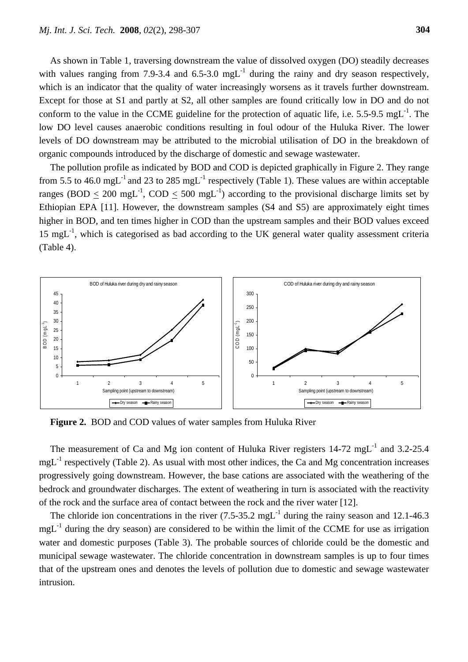As shown in Table 1, traversing downstream the value of dissolved oxygen (DO) steadily decreases with values ranging from 7.9-3.4 and 6.5-3.0 mgL<sup>-1</sup> during the rainy and dry season respectively, which is an indicator that the quality of water increasingly worsens as it travels further downstream. Except for those at S1 and partly at S2, all other samples are found critically low in DO and do not conform to the value in the CCME guideline for the protection of aquatic life, i.e.  $5.5$ -9.5 mgL<sup>-1</sup>. The low DO level causes anaerobic conditions resulting in foul odour of the Huluka River. The lower levels of DO downstream may be attributed to the microbial utilisation of DO in the breakdown of organic compounds introduced by the discharge of domestic and sewage wastewater.

The pollution profile as indicated by BOD and COD is depicted graphically in Figure 2. They range from 5.5 to 46.0 mgL<sup>-1</sup> and 23 to 285 mgL<sup>-1</sup> respectively (Table 1). These values are within acceptable ranges (BOD < 200 mgL<sup>-1</sup>, COD < 500 mgL<sup>-1</sup>) according to the provisional discharge limits set by Ethiopian EPA [11]. However, the downstream samples (S4 and S5) are approximately eight times higher in BOD, and ten times higher in COD than the upstream samples and their BOD values exceed  $15 \text{ mg}$ <sup>-1</sup>, which is categorised as bad according to the UK general water quality assessment criteria (Table 4).



**Figure 2.** BOD and COD values of water samples from Huluka River

The measurement of Ca and Mg ion content of Huluka River registers  $14-72 \text{ mgL}^{-1}$  and 3.2-25.4  $mgL^{-1}$  respectively (Table 2). As usual with most other indices, the Ca and Mg concentration increases progressively going downstream. However, the base cations are associated with the weathering of the bedrock and groundwater discharges. The extent of weathering in turn is associated with the reactivity of the rock and the surface area of contact between the rock and the river water [12].

The chloride ion concentrations in the river  $(7.5-35.2 \text{ mgL}^{-1})$  during the rainy season and 12.1-46.3 mgL<sup>-1</sup> during the dry season) are considered to be within the limit of the CCME for use as irrigation water and domestic purposes (Table 3). The probable sources of chloride could be the domestic and municipal sewage wastewater. The chloride concentration in downstream samples is up to four times that of the upstream ones and denotes the levels of pollution due to domestic and sewage wastewater intrusion.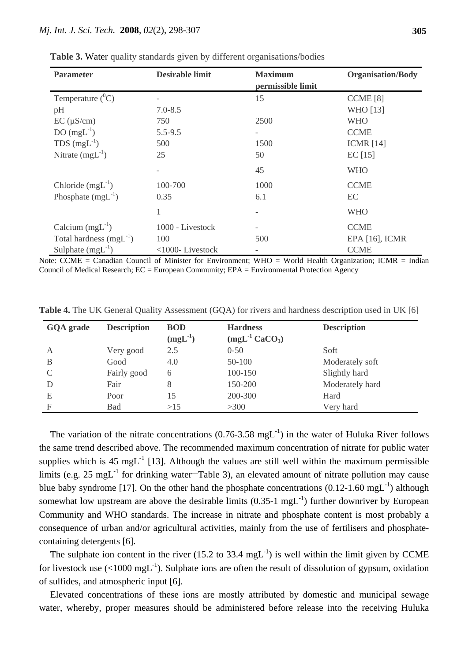| <b>Parameter</b>            | <b>Desirable limit</b> | <b>Maximum</b>    | <b>Organisation/Body</b> |  |  |
|-----------------------------|------------------------|-------------------|--------------------------|--|--|
|                             |                        | permissible limit |                          |  |  |
| Temperature $(^0C)$         |                        | 15                | CCME <sup>[8]</sup>      |  |  |
| pH                          | $7.0 - 8.5$            |                   | <b>WHO</b> [13]          |  |  |
| $EC (\mu S/cm)$             | 750                    | 2500              | WHO                      |  |  |
| $DO(mgL^{-1})$              | $5.5 - 9.5$            |                   | <b>CCME</b>              |  |  |
| TDS $(mgL^{-1})$            | 500                    | 1500              | <b>ICMR</b> [14]         |  |  |
| Nitrate $(mgL^{-1})$        | 25                     | 50                | $EC$ [15]                |  |  |
|                             |                        | 45                | <b>WHO</b>               |  |  |
| Chloride $(mgL^{-1})$       | 100-700                | 1000              | <b>CCME</b>              |  |  |
| Phosphate $(mgL^{-1})$      | 0.35                   | 6.1               | EC                       |  |  |
|                             |                        |                   | <b>WHO</b>               |  |  |
| Calcium $(mgL^{-1})$        | 1000 - Livestock       |                   | <b>CCME</b>              |  |  |
| Total hardness $(mgL^{-1})$ | 100                    | 500               | EPA [16], ICMR           |  |  |
| Sulphate $(mgL^{-1})$       | <1000-Livestock        |                   | <b>CCME</b>              |  |  |

**Table 3.** Water quality standards given by different organisations/bodies

Note: CCME = Canadian Council of Minister for Environment; WHO = World Health Organization; ICMR = Indian Council of Medical Research; EC = European Community; EPA = Environmental Protection Agency

| GQA grade | <b>Description</b> | <b>BOD</b><br>$(mgL^{-1})$ | <b>Hardness</b><br>$(mgL^{-1}$ CaCO <sub>3</sub> ) | <b>Description</b> |
|-----------|--------------------|----------------------------|----------------------------------------------------|--------------------|
| A         | Very good          | 2.5                        | $0 - 50$                                           | Soft               |
| B         | Good               | 4.0                        | 50-100                                             | Moderately soft    |
|           | Fairly good        | 6                          | 100-150                                            | Slightly hard      |
|           | Fair               | 8                          | 150-200                                            | Moderately hard    |
| E         | Poor               | 15                         | 200-300                                            | Hard               |
| F         | <b>Bad</b>         | >15                        | >300                                               | Very hard          |

**Table 4.** The UK General Quality Assessment (GQA) for rivers and hardness description used in UK [6]

The variation of the nitrate concentrations  $(0.76{\text -}3.58 \text{ mgL}^{-1})$  in the water of Huluka River follows the same trend described above. The recommended maximum concentration of nitrate for public water supplies which is 45 mgL<sup>-1</sup> [13]. Although the values are still well within the maximum permissible limits (e.g. 25 mgL<sup>-1</sup> for drinking water-Table 3), an elevated amount of nitrate pollution may cause blue baby syndrome [17]. On the other hand the phosphate concentrations  $(0.12\t{-}1.60 \text{ mgL}^{-1})$  although somewhat low upstream are above the desirable limits  $(0.35-1 \text{ mgL}^{-1})$  further downriver by European Community and WHO standards. The increase in nitrate and phosphate content is most probably a consequence of urban and/or agricultural activities, mainly from the use of fertilisers and phosphatecontaining detergents [6].

The sulphate ion content in the river (15.2 to 33.4 mgL<sup>-1</sup>) is well within the limit given by CCME for livestock use  $(<1000 \text{ mgL}^{-1})$ . Sulphate ions are often the result of dissolution of gypsum, oxidation of sulfides, and atmospheric input [6].

Elevated concentrations of these ions are mostly attributed by domestic and municipal sewage water, whereby, proper measures should be administered before release into the receiving Huluka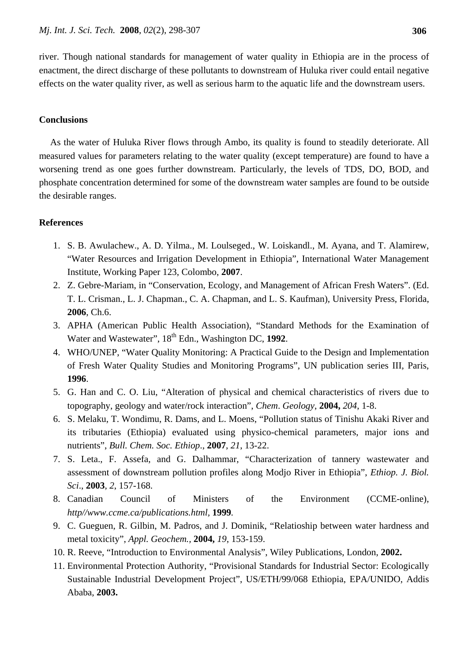river. Though national standards for management of water quality in Ethiopia are in the process of enactment, the direct discharge of these pollutants to downstream of Huluka river could entail negative effects on the water quality river, as well as serious harm to the aquatic life and the downstream users.

## **Conclusions**

As the water of Huluka River flows through Ambo, its quality is found to steadily deteriorate. All measured values for parameters relating to the water quality (except temperature) are found to have a worsening trend as one goes further downstream. Particularly, the levels of TDS, DO, BOD, and phosphate concentration determined for some of the downstream water samples are found to be outside the desirable ranges.

### **References**

- 1. S. B. Awulachew., A. D. Yilma., M. Loulseged., W. Loiskandl., M. Ayana, and T. Alamirew, "Water Resources and Irrigation Development in Ethiopia", International Water Management Institute, Working Paper 123, Colombo, **2007**.
- 2. Z. Gebre-Mariam, in "Conservation, Ecology, and Management of African Fresh Waters". (Ed. T. L. Crisman., L. J. Chapman., C. A. Chapman, and L. S. Kaufman), University Press, Florida, **2006**, Ch.6.
- 3. APHA (American Public Health Association), "Standard Methods for the Examination of Water and Wastewater", 18<sup>th</sup> Edn., Washington DC, 1992.
- 4. WHO/UNEP, "Water Quality Monitoring: A Practical Guide to the Design and Implementation of Fresh Water Quality Studies and Monitoring Programs", UN publication series III, Paris, **1996**.
- 5. G. Han and C. O. Liu, "Alteration of physical and chemical characteristics of rivers due to topography, geology and water/rock interaction", *Chem*. *Geology*, **2004,** *204*, 1-8.
- 6. S. Melaku, T. Wondimu, R. Dams, and L. Moens, "Pollution status of Tinishu Akaki River and its tributaries (Ethiopia) evaluated using physico-chemical parameters, major ions and nutrients", *Bull. Chem. Soc. Ethiop*., **2007**, *21*, 13-22.
- 7. S. Leta., F. Assefa, and G. Dalhammar, "Characterization of tannery wastewater and assessment of downstream pollution profiles along Modjo River in Ethiopia", *Ethiop. J. Biol. Sci*., **2003**, *2*, 157-168.
- 8. Canadian Council of Ministers of the Environment (CCME-online), *http//www.ccme.ca/publications.html,* **1999***.*
- 9. C. Gueguen, R. Gilbin, M. Padros, and J. Dominik, "Relatioship between water hardness and metal toxicity", *Appl. Geochem.,* **2004,** *19*, 153-159.
- 10. R. Reeve, "Introduction to Environmental Analysis", Wiley Publications, London, **2002.**
- 11. Environmental Protection Authority, "Provisional Standards for Industrial Sector: Ecologically Sustainable Industrial Development Project", US/ETH/99/068 Ethiopia, EPA/UNIDO, Addis Ababa, **2003.**